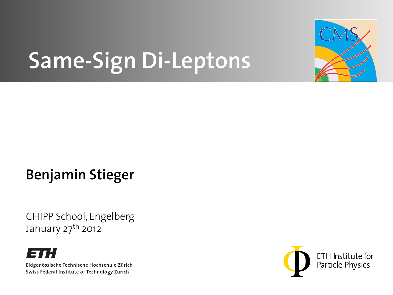

# **Same-Sign Di-Leptons**

### **Benjamin Stieger**

CHIPP School, Engelberg January 27<sup>th</sup> 2012



Eidgenössische Technische Hochschule Zürich Swiss Federal Institute of Technology Zurich

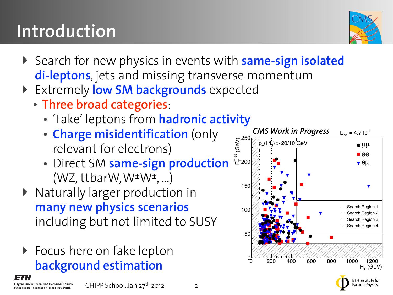Eidgenössische Technische Hochschule Zürich Swiss Federal Institute of Technology Zurich

#### CHIPP School, Jan 27th 2012

### 2

- ‣ Search for new physics in events with **same-sign isolated di-leptons**, jets and missing transverse momentum
	- ‣ Extremely **low SM backgrounds** expected
		- **Three broad categories**:

**Introduction**

- 'Fake' leptons from **hadronic activity**
- **Charge misidentification** (only relevant for electrons)
- Direct SM **same-sign production**  $(WZ, ttbarW, W^{\pm}W^{\pm}, ...)$
- ‣ Naturally larger production in **many new physics scenarios** including but not limited to SUSY
- ▶ Focus here on fake lepton **background estimation**





ETH Institute for

article Physics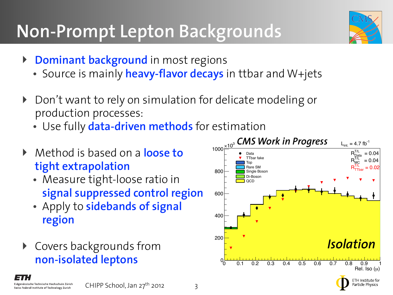## **Non-Prompt Lepton Backgrounds**

- ‣ **Dominant background** in most regions
	- Source is mainly **heavy-flavor decays** in ttbar and W+jets
- ‣ Don't want to rely on simulation for delicate modeling or production processes:
	- Use fully **data-driven methods** for estimation
- ‣ Method is based on a **loose to tight extrapolation**
	- Measure tight-loose ratio in **signal suppressed control region**
	- Apply to **sidebands of signal region**
- ‣ Covers backgrounds from **non-isolated leptons**





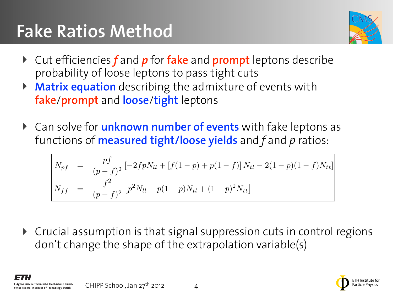#### **Fake Ratios Method** *Ntl* = 2*p*(1 *p*)*Npp* + [*f*(1 *p*) + *p*(1 *f*)] *Npf* + 2*f*(1 *f*)*Nf f Ntt* = *p*2*Npp* + *pfNpf* + *f* <sup>2</sup>*Nf f* (3)



- **▶ Cut efficiencies** *f* and **p** for fake and prompt leptons describe probability of loose leptons to pass tight cuts
- ‣ **Matrix equation** describing the admixture of events with **fake**/**prompt** and **loose**/**tight** leptons propushing of 10000 reptons to puss tight cats<br>A **Matrix aquation** deceribing the admixture of exerts with  $\blacktriangleright$  **Matrix equation** describing the admixture of events with  $\blacktriangleright$ *Npp* =  $\sqrt{2}$ ⇥ (1 *f*) <sup>2</sup>*Ntt <sup>f</sup>*(1 *<sup>f</sup>*)*Ntl* <sup>+</sup> *<sup>f</sup>* <sup>2</sup>*Nll*⇤ (4)
- ▶ Can solve for *unknown number of events* with fake leptons as functions of **measured tight/loose yields** and f and p ratios: of events with two faces with two faces with the set of the set of the set of the set of the set of the set of <br>Events with the set of the set of the set of the set of the set of the set of the set of the set of the set of

$$
N_{pf} = \frac{pf}{(p-f)^2} \left[ -2fpN_{ll} + \left[ f(1-p) + p(1-f) \right] N_{tl} - 2(1-p)(1-f)N_{tt} \right]
$$
  

$$
N_{ff} = \frac{f^2}{(p-f)^2} \left[ p^2 N_{ll} - p(1-p)N_{tl} + (1-p)^2 N_{tt} \right]
$$

‣ Crucial assumption is that signal suppression cuts in control regions Crucial assumption is that sighal suppression cuts in co<br>don't change the shape of the extrapolation variable(s)  $\frac{1}{2}$   $\frac{1}{2}$   $\frac{1}{2}$   $\frac{1}{2}$   $\frac{1}{2}$   $\frac{1}{2}$   $\frac{1}{2}$   $\frac{1}{2}$   $\frac{1}{2}$   $\frac{1}{2}$   $\frac{1}{2}$   $\frac{1}{2}$   $\frac{1}{2}$   $\frac{1}{2}$   $\frac{1}{2}$   $\frac{1}{2}$   $\frac{1}{2}$   $\frac{1}{2}$   $\frac{1}{2}$   $\frac{1}{2}$   $\frac{1}{2}$   $\frac{1}{2}$  of the extrapolation variable(s)

CHIPP School, Jan 27th 2012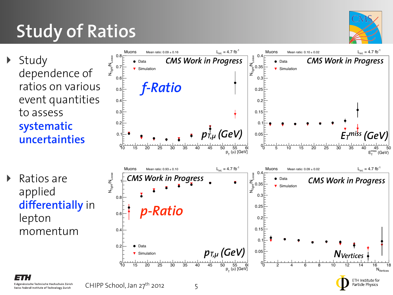### ratios on various event quantities to assess

‣ Study

**Study of Ratios**

### **systematic uncertainties**

‣ Ratios are applied **differentially** in lepton momentum







ETH Institute for

Particle Physics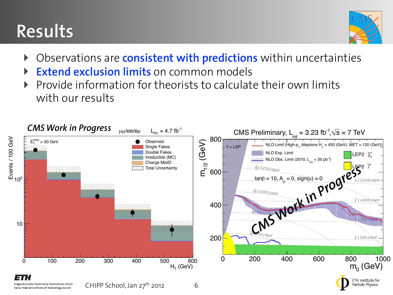## **Results**



- ‣ Observations are **consistent with predictions** within uncertainties
- **Extend exclusion limits** on common models
- ‣ Provide information for theorists to calculate their own limits with our results